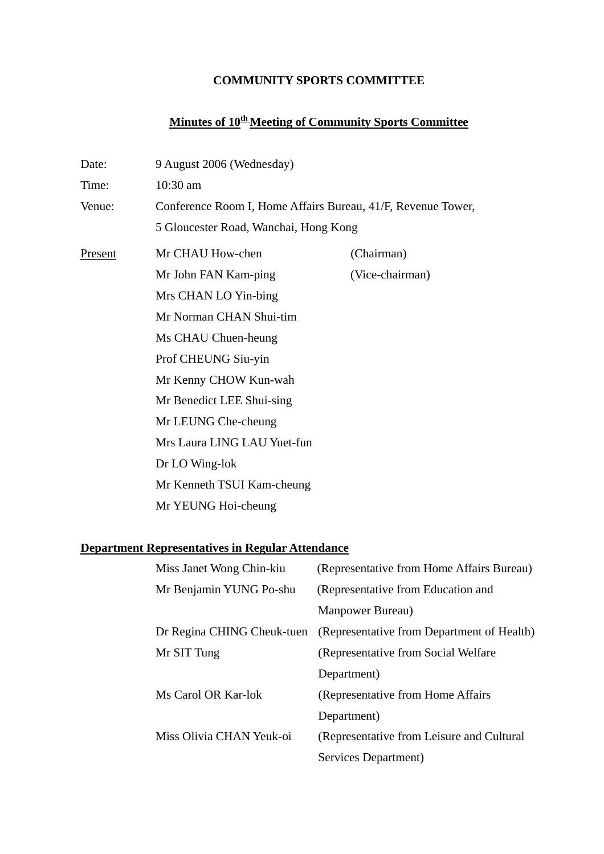## **COMMUNITY SPORTS COMMITTEE**

# **Minutes of 10th Meeting of Community Sports Committee**

| Date:                                                   | 9 August 2006 (Wednesday)                                    |                                            |  |
|---------------------------------------------------------|--------------------------------------------------------------|--------------------------------------------|--|
| Time:                                                   | 10:30 am                                                     |                                            |  |
| Venue:                                                  | Conference Room I, Home Affairs Bureau, 41/F, Revenue Tower, |                                            |  |
|                                                         | 5 Gloucester Road, Wanchai, Hong Kong                        |                                            |  |
| Present                                                 | Mr CHAU How-chen                                             | (Chairman)                                 |  |
|                                                         | Mr John FAN Kam-ping                                         | (Vice-chairman)                            |  |
|                                                         | Mrs CHAN LO Yin-bing                                         |                                            |  |
|                                                         | Mr Norman CHAN Shui-tim                                      |                                            |  |
|                                                         | Ms CHAU Chuen-heung                                          |                                            |  |
|                                                         | Prof CHEUNG Siu-yin                                          |                                            |  |
|                                                         | Mr Kenny CHOW Kun-wah                                        |                                            |  |
|                                                         | Mr Benedict LEE Shui-sing                                    |                                            |  |
|                                                         | Mr LEUNG Che-cheung                                          |                                            |  |
|                                                         | Mrs Laura LING LAU Yuet-fun                                  |                                            |  |
|                                                         | Dr LO Wing-lok                                               |                                            |  |
|                                                         | Mr Kenneth TSUI Kam-cheung                                   |                                            |  |
|                                                         | Mr YEUNG Hoi-cheung                                          |                                            |  |
|                                                         |                                                              |                                            |  |
| <b>Department Representatives in Regular Attendance</b> |                                                              |                                            |  |
|                                                         | Miss Janet Wong Chin-kiu                                     | (Representative from Home Affairs Bureau)  |  |
|                                                         | Mr Benjamin YUNG Po-shu                                      | (Representative from Education and         |  |
|                                                         |                                                              | Manpower Bureau)                           |  |
|                                                         | Dr Regina CHING Cheuk-tuen                                   | (Representative from Department of Health) |  |
|                                                         | Mr SIT Tung                                                  | (Representative from Social Welfare)       |  |
|                                                         |                                                              | Department)                                |  |
|                                                         | Ms Carol OR Kar-lok                                          | (Representative from Home Affairs          |  |
|                                                         |                                                              | Department)                                |  |
|                                                         | Miss Olivia CHAN Yeuk-oi                                     | (Representative from Leisure and Cultural  |  |
|                                                         |                                                              | Services Department)                       |  |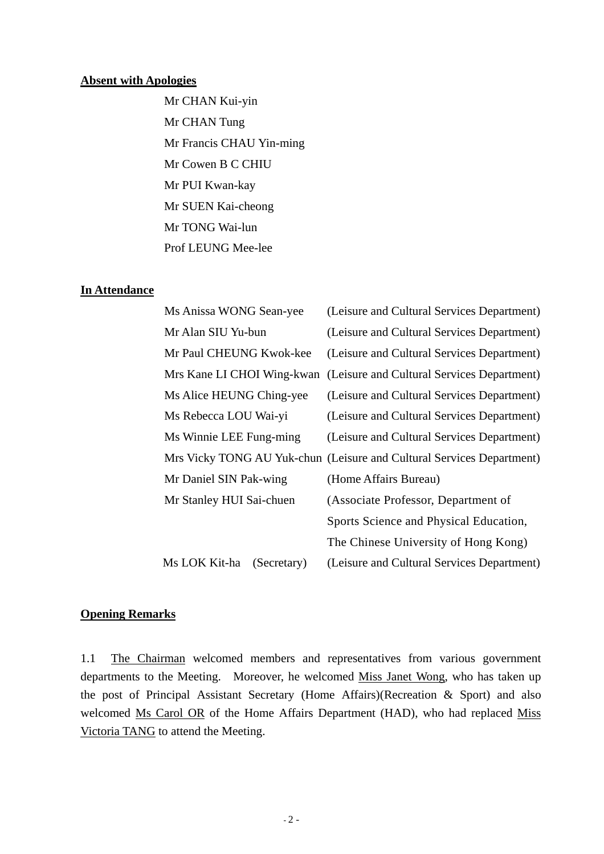#### **Absent with Apologies**

Mr CHAN Kui-yin Mr CHAN Tung Mr Francis CHAU Yin-ming Mr Cowen B C CHIU Mr PUI Kwan-kay Mr SUEN Kai-cheong Mr TONG Wai-lun Prof LEUNG Mee-lee

#### **In Attendance**

| Ms Anissa WONG Sean-yee      | (Leisure and Cultural Services Department)                            |
|------------------------------|-----------------------------------------------------------------------|
| Mr Alan SIU Yu-bun           | (Leisure and Cultural Services Department)                            |
| Mr Paul CHEUNG Kwok-kee      | (Leisure and Cultural Services Department)                            |
| Mrs Kane LI CHOI Wing-kwan   | (Leisure and Cultural Services Department)                            |
| Ms Alice HEUNG Ching-yee     | (Leisure and Cultural Services Department)                            |
| Ms Rebecca LOU Wai-yi        | (Leisure and Cultural Services Department)                            |
| Ms Winnie LEE Fung-ming      | (Leisure and Cultural Services Department)                            |
|                              | Mrs Vicky TONG AU Yuk-chun (Leisure and Cultural Services Department) |
| Mr Daniel SIN Pak-wing       | (Home Affairs Bureau)                                                 |
| Mr Stanley HUI Sai-chuen     | (Associate Professor, Department of                                   |
|                              | Sports Science and Physical Education,                                |
|                              | The Chinese University of Hong Kong)                                  |
| Ms LOK Kit-ha<br>(Secretary) | (Leisure and Cultural Services Department)                            |

#### **Opening Remarks**

1.1 The Chairman welcomed members and representatives from various government departments to the Meeting. Moreover, he welcomed Miss Janet Wong, who has taken up the post of Principal Assistant Secretary (Home Affairs)(Recreation & Sport) and also welcomed Ms Carol OR of the Home Affairs Department (HAD), who had replaced Miss Victoria TANG to attend the Meeting.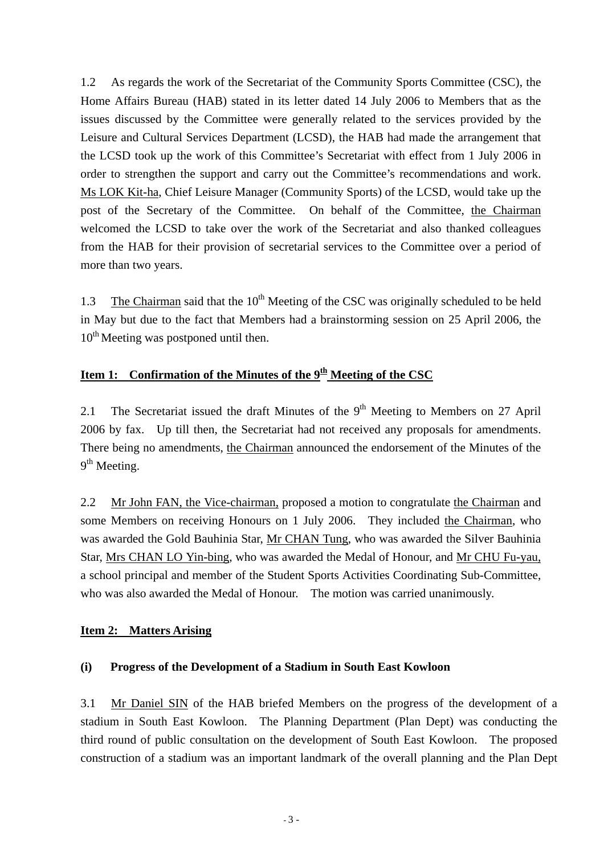1.2 As regards the work of the Secretariat of the Community Sports Committee (CSC), the Home Affairs Bureau (HAB) stated in its letter dated 14 July 2006 to Members that as the issues discussed by the Committee were generally related to the services provided by the Leisure and Cultural Services Department (LCSD), the HAB had made the arrangement that the LCSD took up the work of this Committee's Secretariat with effect from 1 July 2006 in order to strengthen the support and carry out the Committee's recommendations and work. Ms LOK Kit-ha, Chief Leisure Manager (Community Sports) of the LCSD, would take up the post of the Secretary of the Committee. On behalf of the Committee, the Chairman welcomed the LCSD to take over the work of the Secretariat and also thanked colleagues from the HAB for their provision of secretarial services to the Committee over a period of more than two years.

1.3 The Chairman said that the  $10<sup>th</sup>$  Meeting of the CSC was originally scheduled to be held in May but due to the fact that Members had a brainstorming session on 25 April 2006, the  $10<sup>th</sup>$  Meeting was postponed until then.

## **Item 1: Confirmation of the Minutes of the 9th Meeting of the CSC**

2.1 The Secretariat issued the draft Minutes of the  $9<sup>th</sup>$  Meeting to Members on 27 April 2006 by fax. Up till then, the Secretariat had not received any proposals for amendments. There being no amendments, the Chairman announced the endorsement of the Minutes of the  $9<sup>th</sup>$  Meeting.

2.2 Mr John FAN, the Vice-chairman, proposed a motion to congratulate the Chairman and some Members on receiving Honours on 1 July 2006. They included the Chairman, who was awarded the Gold Bauhinia Star, Mr CHAN Tung, who was awarded the Silver Bauhinia Star, Mrs CHAN LO Yin-bing, who was awarded the Medal of Honour, and Mr CHU Fu-yau, a school principal and member of the Student Sports Activities Coordinating Sub-Committee, who was also awarded the Medal of Honour. The motion was carried unanimously.

## **Item 2: Matters Arising**

## **(i) Progress of the Development of a Stadium in South East Kowloon**

3.1 Mr Daniel SIN of the HAB briefed Members on the progress of the development of a stadium in South East Kowloon. The Planning Department (Plan Dept) was conducting the third round of public consultation on the development of South East Kowloon. The proposed construction of a stadium was an important landmark of the overall planning and the Plan Dept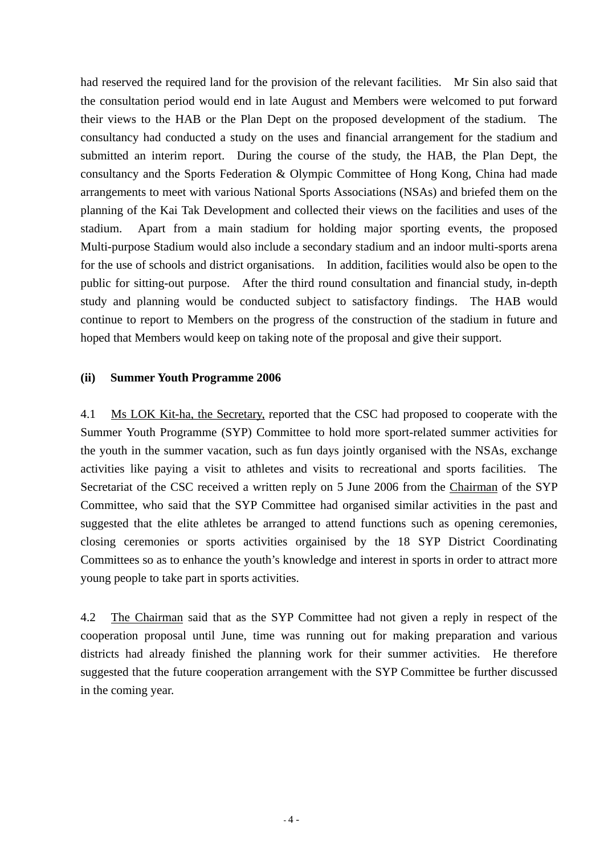had reserved the required land for the provision of the relevant facilities. Mr Sin also said that the consultation period would end in late August and Members were welcomed to put forward their views to the HAB or the Plan Dept on the proposed development of the stadium. The consultancy had conducted a study on the uses and financial arrangement for the stadium and submitted an interim report. During the course of the study, the HAB, the Plan Dept, the consultancy and the Sports Federation & Olympic Committee of Hong Kong, China had made arrangements to meet with various National Sports Associations (NSAs) and briefed them on the planning of the Kai Tak Development and collected their views on the facilities and uses of the stadium. Apart from a main stadium for holding major sporting events, the proposed Multi-purpose Stadium would also include a secondary stadium and an indoor multi-sports arena for the use of schools and district organisations. In addition, facilities would also be open to the public for sitting-out purpose. After the third round consultation and financial study, in-depth study and planning would be conducted subject to satisfactory findings. The HAB would continue to report to Members on the progress of the construction of the stadium in future and hoped that Members would keep on taking note of the proposal and give their support.

#### **(ii) Summer Youth Programme 2006**

4.1 Ms LOK Kit-ha, the Secretary, reported that the CSC had proposed to cooperate with the Summer Youth Programme (SYP) Committee to hold more sport-related summer activities for the youth in the summer vacation, such as fun days jointly organised with the NSAs, exchange activities like paying a visit to athletes and visits to recreational and sports facilities. The Secretariat of the CSC received a written reply on 5 June 2006 from the Chairman of the SYP Committee, who said that the SYP Committee had organised similar activities in the past and suggested that the elite athletes be arranged to attend functions such as opening ceremonies, closing ceremonies or sports activities orgainised by the 18 SYP District Coordinating Committees so as to enhance the youth's knowledge and interest in sports in order to attract more young people to take part in sports activities.

4.2 The Chairman said that as the SYP Committee had not given a reply in respect of the cooperation proposal until June, time was running out for making preparation and various districts had already finished the planning work for their summer activities. He therefore suggested that the future cooperation arrangement with the SYP Committee be further discussed in the coming year.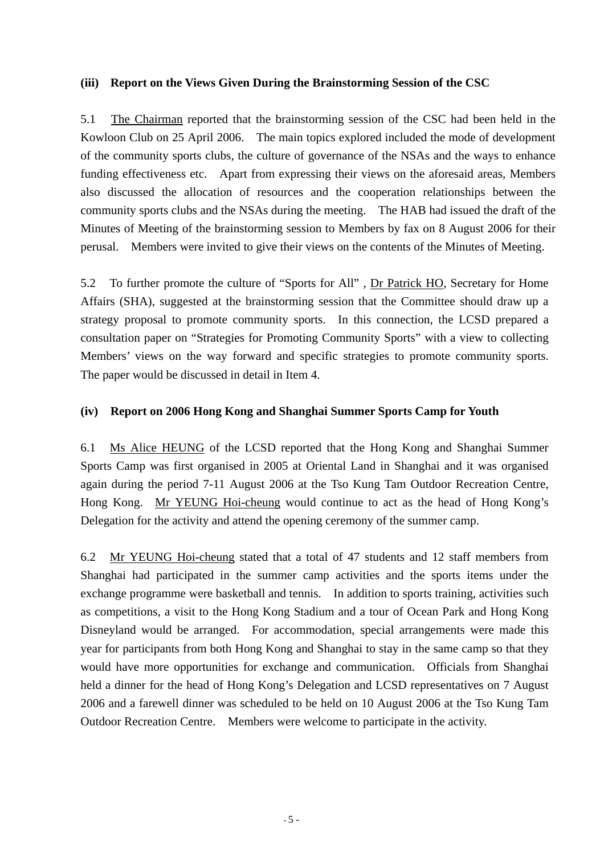### **(iii) Report on the Views Given During the Brainstorming Session of the CSC**

5.1 The Chairman reported that the brainstorming session of the CSC had been held in the Kowloon Club on 25 April 2006. The main topics explored included the mode of development of the community sports clubs, the culture of governance of the NSAs and the ways to enhance funding effectiveness etc. Apart from expressing their views on the aforesaid areas, Members also discussed the allocation of resources and the cooperation relationships between the community sports clubs and the NSAs during the meeting. The HAB had issued the draft of the Minutes of Meeting of the brainstorming session to Members by fax on 8 August 2006 for their perusal. Members were invited to give their views on the contents of the Minutes of Meeting.

5.2 To further promote the culture of "Sports for All" , Dr Patrick HO, Secretary for Home Affairs (SHA), suggested at the brainstorming session that the Committee should draw up a strategy proposal to promote community sports. In this connection, the LCSD prepared a consultation paper on "Strategies for Promoting Community Sports" with a view to collecting Members' views on the way forward and specific strategies to promote community sports. The paper would be discussed in detail in Item 4.

### **(iv) Report on 2006 Hong Kong and Shanghai Summer Sports Camp for Youth**

6.1 Ms Alice HEUNG of the LCSD reported that the Hong Kong and Shanghai Summer Sports Camp was first organised in 2005 at Oriental Land in Shanghai and it was organised again during the period 7-11 August 2006 at the Tso Kung Tam Outdoor Recreation Centre, Hong Kong. Mr YEUNG Hoi-cheung would continue to act as the head of Hong Kong's Delegation for the activity and attend the opening ceremony of the summer camp.

6.2 Mr YEUNG Hoi-cheung stated that a total of 47 students and 12 staff members from Shanghai had participated in the summer camp activities and the sports items under the exchange programme were basketball and tennis. In addition to sports training, activities such as competitions, a visit to the Hong Kong Stadium and a tour of Ocean Park and Hong Kong Disneyland would be arranged. For accommodation, special arrangements were made this year for participants from both Hong Kong and Shanghai to stay in the same camp so that they would have more opportunities for exchange and communication. Officials from Shanghai held a dinner for the head of Hong Kong's Delegation and LCSD representatives on 7 August 2006 and a farewell dinner was scheduled to be held on 10 August 2006 at the Tso Kung Tam Outdoor Recreation Centre. Members were welcome to participate in the activity.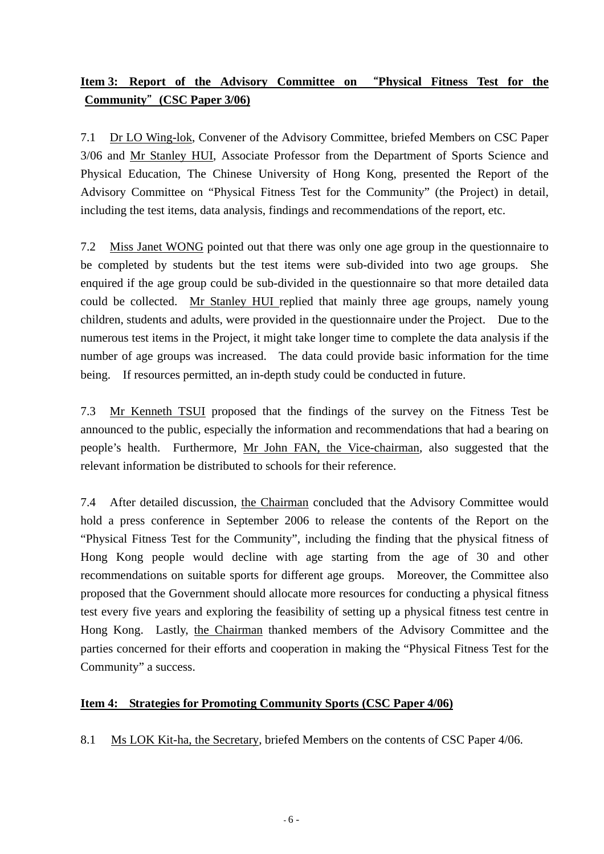## **Item 3: Report of the Advisory Committee on** "**Physical Fitness Test for the Community**"**(CSC Paper 3/06)**

7.1 Dr LO Wing-lok, Convener of the Advisory Committee, briefed Members on CSC Paper 3/06 and Mr Stanley HUI, Associate Professor from the Department of Sports Science and Physical Education, The Chinese University of Hong Kong, presented the Report of the Advisory Committee on "Physical Fitness Test for the Community" (the Project) in detail, including the test items, data analysis, findings and recommendations of the report, etc.

7.2 Miss Janet WONG pointed out that there was only one age group in the questionnaire to be completed by students but the test items were sub-divided into two age groups. She enquired if the age group could be sub-divided in the questionnaire so that more detailed data could be collected. Mr Stanley HUI replied that mainly three age groups, namely young children, students and adults, were provided in the questionnaire under the Project. Due to the numerous test items in the Project, it might take longer time to complete the data analysis if the number of age groups was increased. The data could provide basic information for the time being. If resources permitted, an in-depth study could be conducted in future.

7.3 Mr Kenneth TSUI proposed that the findings of the survey on the Fitness Test be announced to the public, especially the information and recommendations that had a bearing on people's health. Furthermore, Mr John FAN, the Vice-chairman, also suggested that the relevant information be distributed to schools for their reference.

7.4 After detailed discussion, the Chairman concluded that the Advisory Committee would hold a press conference in September 2006 to release the contents of the Report on the "Physical Fitness Test for the Community", including the finding that the physical fitness of Hong Kong people would decline with age starting from the age of 30 and other recommendations on suitable sports for different age groups. Moreover, the Committee also proposed that the Government should allocate more resources for conducting a physical fitness test every five years and exploring the feasibility of setting up a physical fitness test centre in Hong Kong. Lastly, the Chairman thanked members of the Advisory Committee and the parties concerned for their efforts and cooperation in making the "Physical Fitness Test for the Community" a success.

## **Item 4: Strategies for Promoting Community Sports (CSC Paper 4/06)**

8.1 Ms LOK Kit-ha, the Secretary, briefed Members on the contents of CSC Paper 4/06.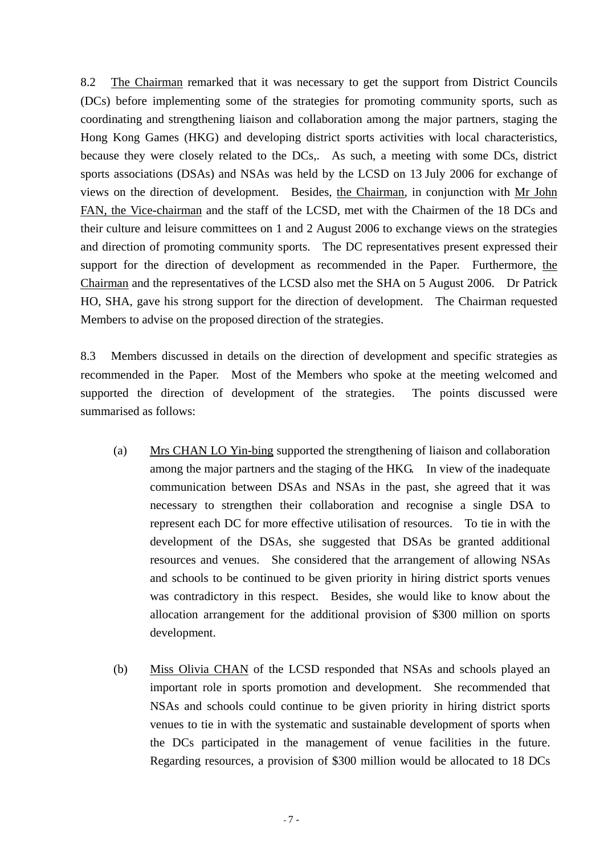8.2 The Chairman remarked that it was necessary to get the support from District Councils (DCs) before implementing some of the strategies for promoting community sports, such as coordinating and strengthening liaison and collaboration among the major partners, staging the Hong Kong Games (HKG) and developing district sports activities with local characteristics, because they were closely related to the DCs,. As such, a meeting with some DCs, district sports associations (DSAs) and NSAs was held by the LCSD on 13 July 2006 for exchange of views on the direction of development. Besides, the Chairman, in conjunction with Mr John FAN, the Vice-chairman and the staff of the LCSD, met with the Chairmen of the 18 DCs and their culture and leisure committees on 1 and 2 August 2006 to exchange views on the strategies and direction of promoting community sports. The DC representatives present expressed their support for the direction of development as recommended in the Paper. Furthermore, the Chairman and the representatives of the LCSD also met the SHA on 5 August 2006. Dr Patrick HO, SHA, gave his strong support for the direction of development. The Chairman requested Members to advise on the proposed direction of the strategies.

8.3 Members discussed in details on the direction of development and specific strategies as recommended in the Paper. Most of the Members who spoke at the meeting welcomed and supported the direction of development of the strategies. The points discussed were summarised as follows:

- (a) Mrs CHAN LO Yin-bing supported the strengthening of liaison and collaboration among the major partners and the staging of the HKG. In view of the inadequate communication between DSAs and NSAs in the past, she agreed that it was necessary to strengthen their collaboration and recognise a single DSA to represent each DC for more effective utilisation of resources. To tie in with the development of the DSAs, she suggested that DSAs be granted additional resources and venues. She considered that the arrangement of allowing NSAs and schools to be continued to be given priority in hiring district sports venues was contradictory in this respect. Besides, she would like to know about the allocation arrangement for the additional provision of \$300 million on sports development.
- (b) Miss Olivia CHAN of the LCSD responded that NSAs and schools played an important role in sports promotion and development. She recommended that NSAs and schools could continue to be given priority in hiring district sports venues to tie in with the systematic and sustainable development of sports when the DCs participated in the management of venue facilities in the future. Regarding resources, a provision of \$300 million would be allocated to 18 DCs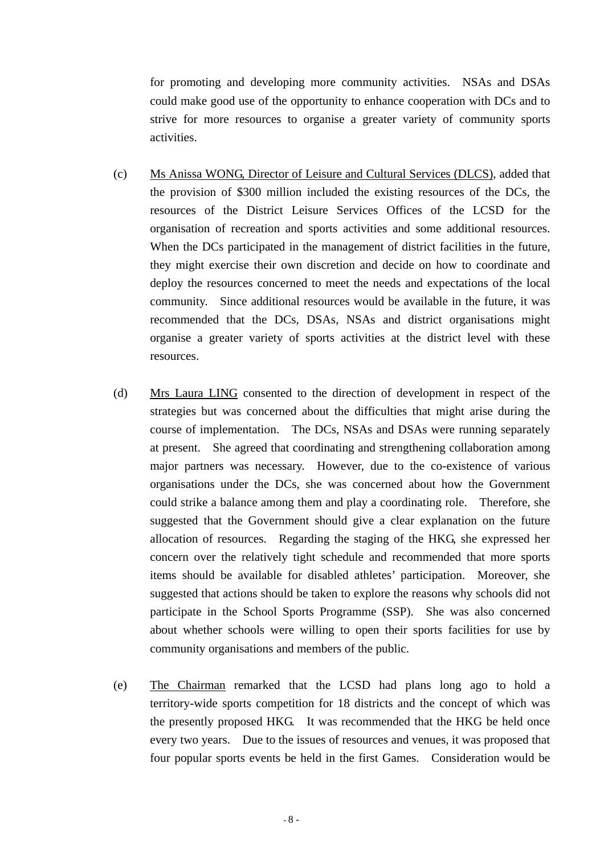for promoting and developing more community activities. NSAs and DSAs could make good use of the opportunity to enhance cooperation with DCs and to strive for more resources to organise a greater variety of community sports activities.

- (c) Ms Anissa WONG, Director of Leisure and Cultural Services (DLCS), added that the provision of \$300 million included the existing resources of the DCs, the resources of the District Leisure Services Offices of the LCSD for the organisation of recreation and sports activities and some additional resources. When the DCs participated in the management of district facilities in the future, they might exercise their own discretion and decide on how to coordinate and deploy the resources concerned to meet the needs and expectations of the local community. Since additional resources would be available in the future, it was recommended that the DCs, DSAs, NSAs and district organisations might organise a greater variety of sports activities at the district level with these resources.
- (d) Mrs Laura LING consented to the direction of development in respect of the strategies but was concerned about the difficulties that might arise during the course of implementation. The DCs, NSAs and DSAs were running separately at present. She agreed that coordinating and strengthening collaboration among major partners was necessary. However, due to the co-existence of various organisations under the DCs, she was concerned about how the Government could strike a balance among them and play a coordinating role. Therefore, she suggested that the Government should give a clear explanation on the future allocation of resources. Regarding the staging of the HKG, she expressed her concern over the relatively tight schedule and recommended that more sports items should be available for disabled athletes' participation. Moreover, she suggested that actions should be taken to explore the reasons why schools did not participate in the School Sports Programme (SSP). She was also concerned about whether schools were willing to open their sports facilities for use by community organisations and members of the public.
- (e) The Chairman remarked that the LCSD had plans long ago to hold a territory-wide sports competition for 18 districts and the concept of which was the presently proposed HKG. It was recommended that the HKG be held once every two years. Due to the issues of resources and venues, it was proposed that four popular sports events be held in the first Games. Consideration would be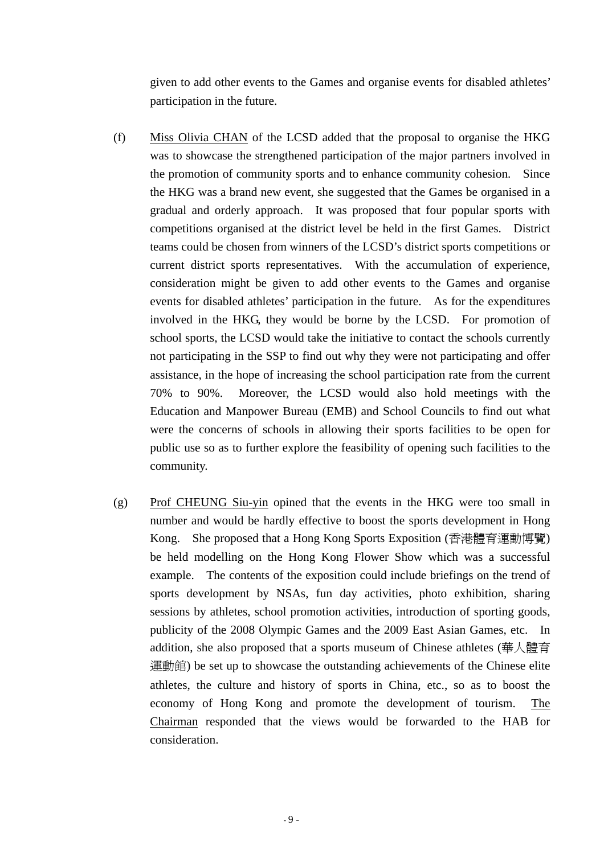given to add other events to the Games and organise events for disabled athletes' participation in the future.

- (f) Miss Olivia CHAN of the LCSD added that the proposal to organise the HKG was to showcase the strengthened participation of the major partners involved in the promotion of community sports and to enhance community cohesion. Since the HKG was a brand new event, she suggested that the Games be organised in a gradual and orderly approach. It was proposed that four popular sports with competitions organised at the district level be held in the first Games. District teams could be chosen from winners of the LCSD's district sports competitions or current district sports representatives. With the accumulation of experience, consideration might be given to add other events to the Games and organise events for disabled athletes' participation in the future. As for the expenditures involved in the HKG, they would be borne by the LCSD. For promotion of school sports, the LCSD would take the initiative to contact the schools currently not participating in the SSP to find out why they were not participating and offer assistance, in the hope of increasing the school participation rate from the current 70% to 90%. Moreover, the LCSD would also hold meetings with the Education and Manpower Bureau (EMB) and School Councils to find out what were the concerns of schools in allowing their sports facilities to be open for public use so as to further explore the feasibility of opening such facilities to the community.
- (g) Prof CHEUNG Siu-yin opined that the events in the HKG were too small in number and would be hardly effective to boost the sports development in Hong Kong. She proposed that a Hong Kong Sports Exposition (香港體育運動博覽) be held modelling on the Hong Kong Flower Show which was a successful example. The contents of the exposition could include briefings on the trend of sports development by NSAs, fun day activities, photo exhibition, sharing sessions by athletes, school promotion activities, introduction of sporting goods, publicity of the 2008 Olympic Games and the 2009 East Asian Games, etc. In addition, she also proposed that a sports museum of Chinese athletes (華人體育 運動館) be set up to showcase the outstanding achievements of the Chinese elite athletes, the culture and history of sports in China, etc., so as to boost the economy of Hong Kong and promote the development of tourism. The Chairman responded that the views would be forwarded to the HAB for consideration.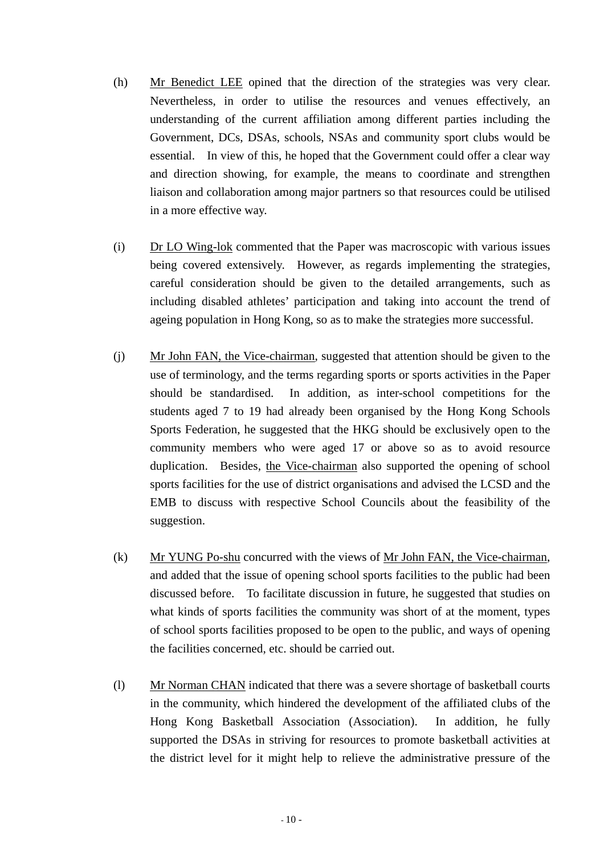- (h) Mr Benedict LEE opined that the direction of the strategies was very clear. Nevertheless, in order to utilise the resources and venues effectively, an understanding of the current affiliation among different parties including the Government, DCs, DSAs, schools, NSAs and community sport clubs would be essential. In view of this, he hoped that the Government could offer a clear way and direction showing, for example, the means to coordinate and strengthen liaison and collaboration among major partners so that resources could be utilised in a more effective way.
- (i) Dr LO Wing-lok commented that the Paper was macroscopic with various issues being covered extensively. However, as regards implementing the strategies, careful consideration should be given to the detailed arrangements, such as including disabled athletes' participation and taking into account the trend of ageing population in Hong Kong, so as to make the strategies more successful.
- (j) Mr John FAN, the Vice-chairman, suggested that attention should be given to the use of terminology, and the terms regarding sports or sports activities in the Paper should be standardised. In addition, as inter-school competitions for the students aged 7 to 19 had already been organised by the Hong Kong Schools Sports Federation, he suggested that the HKG should be exclusively open to the community members who were aged 17 or above so as to avoid resource duplication. Besides, the Vice-chairman also supported the opening of school sports facilities for the use of district organisations and advised the LCSD and the EMB to discuss with respective School Councils about the feasibility of the suggestion.
- (k) Mr YUNG Po-shu concurred with the views of Mr John FAN, the Vice-chairman, and added that the issue of opening school sports facilities to the public had been discussed before. To facilitate discussion in future, he suggested that studies on what kinds of sports facilities the community was short of at the moment, types of school sports facilities proposed to be open to the public, and ways of opening the facilities concerned, etc. should be carried out.
- (l) Mr Norman CHAN indicated that there was a severe shortage of basketball courts in the community, which hindered the development of the affiliated clubs of the Hong Kong Basketball Association (Association). In addition, he fully supported the DSAs in striving for resources to promote basketball activities at the district level for it might help to relieve the administrative pressure of the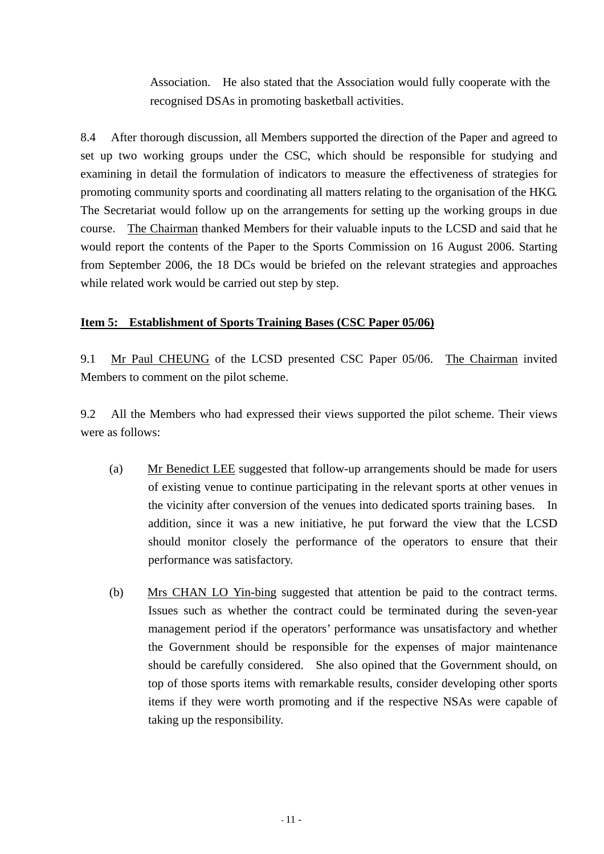Association. He also stated that the Association would fully cooperate with the recognised DSAs in promoting basketball activities.

8.4 After thorough discussion, all Members supported the direction of the Paper and agreed to set up two working groups under the CSC, which should be responsible for studying and examining in detail the formulation of indicators to measure the effectiveness of strategies for promoting community sports and coordinating all matters relating to the organisation of the HKG. The Secretariat would follow up on the arrangements for setting up the working groups in due course. The Chairman thanked Members for their valuable inputs to the LCSD and said that he would report the contents of the Paper to the Sports Commission on 16 August 2006. Starting from September 2006, the 18 DCs would be briefed on the relevant strategies and approaches while related work would be carried out step by step.

## **Item 5: Establishment of Sports Training Bases (CSC Paper 05/06)**

9.1 Mr Paul CHEUNG of the LCSD presented CSC Paper 05/06. The Chairman invited Members to comment on the pilot scheme.

9.2 All the Members who had expressed their views supported the pilot scheme. Their views were as follows:

- (a) Mr Benedict LEE suggested that follow-up arrangements should be made for users of existing venue to continue participating in the relevant sports at other venues in the vicinity after conversion of the venues into dedicated sports training bases. In addition, since it was a new initiative, he put forward the view that the LCSD should monitor closely the performance of the operators to ensure that their performance was satisfactory.
- (b) Mrs CHAN LO Yin-bing suggested that attention be paid to the contract terms. Issues such as whether the contract could be terminated during the seven-year management period if the operators' performance was unsatisfactory and whether the Government should be responsible for the expenses of major maintenance should be carefully considered. She also opined that the Government should, on top of those sports items with remarkable results, consider developing other sports items if they were worth promoting and if the respective NSAs were capable of taking up the responsibility.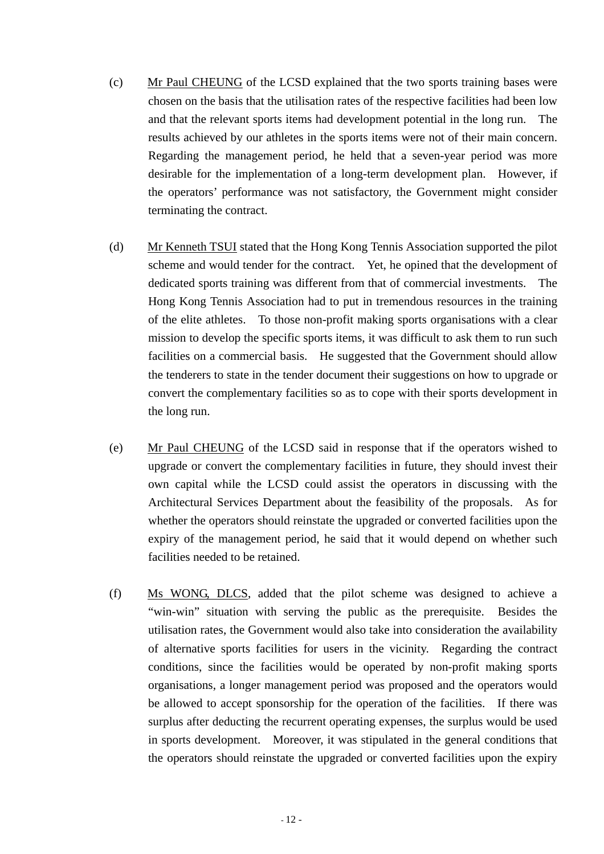- (c) Mr Paul CHEUNG of the LCSD explained that the two sports training bases were chosen on the basis that the utilisation rates of the respective facilities had been low and that the relevant sports items had development potential in the long run. The results achieved by our athletes in the sports items were not of their main concern. Regarding the management period, he held that a seven-year period was more desirable for the implementation of a long-term development plan. However, if the operators' performance was not satisfactory, the Government might consider terminating the contract.
- (d) Mr Kenneth TSUI stated that the Hong Kong Tennis Association supported the pilot scheme and would tender for the contract. Yet, he opined that the development of dedicated sports training was different from that of commercial investments. The Hong Kong Tennis Association had to put in tremendous resources in the training of the elite athletes. To those non-profit making sports organisations with a clear mission to develop the specific sports items, it was difficult to ask them to run such facilities on a commercial basis. He suggested that the Government should allow the tenderers to state in the tender document their suggestions on how to upgrade or convert the complementary facilities so as to cope with their sports development in the long run.
- (e) Mr Paul CHEUNG of the LCSD said in response that if the operators wished to upgrade or convert the complementary facilities in future, they should invest their own capital while the LCSD could assist the operators in discussing with the Architectural Services Department about the feasibility of the proposals. As for whether the operators should reinstate the upgraded or converted facilities upon the expiry of the management period, he said that it would depend on whether such facilities needed to be retained.
- (f) Ms WONG, DLCS, added that the pilot scheme was designed to achieve a "win-win" situation with serving the public as the prerequisite. Besides the utilisation rates, the Government would also take into consideration the availability of alternative sports facilities for users in the vicinity. Regarding the contract conditions, since the facilities would be operated by non-profit making sports organisations, a longer management period was proposed and the operators would be allowed to accept sponsorship for the operation of the facilities. If there was surplus after deducting the recurrent operating expenses, the surplus would be used in sports development. Moreover, it was stipulated in the general conditions that the operators should reinstate the upgraded or converted facilities upon the expiry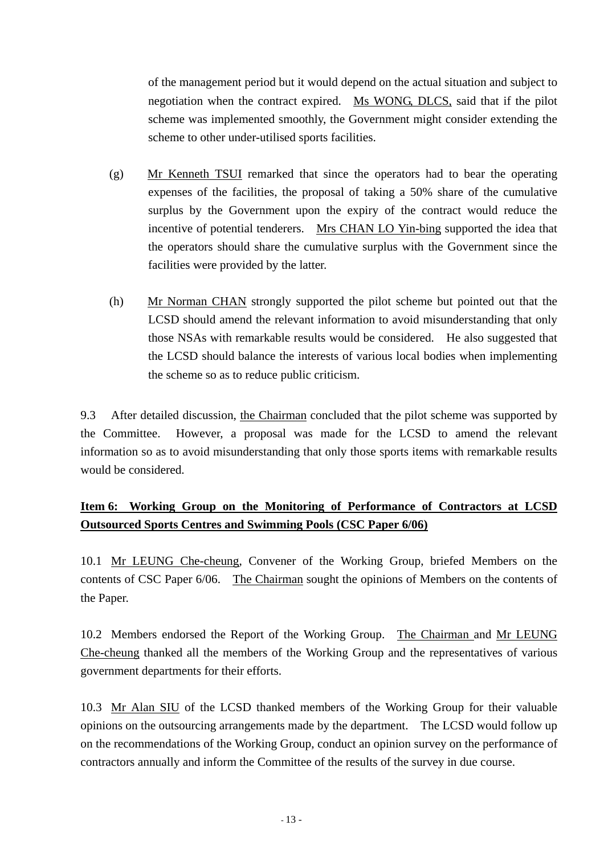of the management period but it would depend on the actual situation and subject to negotiation when the contract expired. Ms WONG, DLCS, said that if the pilot scheme was implemented smoothly, the Government might consider extending the scheme to other under-utilised sports facilities.

- (g) Mr Kenneth TSUI remarked that since the operators had to bear the operating expenses of the facilities, the proposal of taking a 50% share of the cumulative surplus by the Government upon the expiry of the contract would reduce the incentive of potential tenderers. Mrs CHAN LO Yin-bing supported the idea that the operators should share the cumulative surplus with the Government since the facilities were provided by the latter.
- (h) Mr Norman CHAN strongly supported the pilot scheme but pointed out that the LCSD should amend the relevant information to avoid misunderstanding that only those NSAs with remarkable results would be considered. He also suggested that the LCSD should balance the interests of various local bodies when implementing the scheme so as to reduce public criticism.

9.3 After detailed discussion, the Chairman concluded that the pilot scheme was supported by the Committee. However, a proposal was made for the LCSD to amend the relevant information so as to avoid misunderstanding that only those sports items with remarkable results would be considered.

## **Item 6: Working Group on the Monitoring of Performance of Contractors at LCSD Outsourced Sports Centres and Swimming Pools (CSC Paper 6/06)**

10.1 Mr LEUNG Che-cheung, Convener of the Working Group, briefed Members on the contents of CSC Paper 6/06. The Chairman sought the opinions of Members on the contents of the Paper.

10.2 Members endorsed the Report of the Working Group. The Chairman and Mr LEUNG Che-cheung thanked all the members of the Working Group and the representatives of various government departments for their efforts.

10.3 Mr Alan SIU of the LCSD thanked members of the Working Group for their valuable opinions on the outsourcing arrangements made by the department. The LCSD would follow up on the recommendations of the Working Group, conduct an opinion survey on the performance of contractors annually and inform the Committee of the results of the survey in due course.